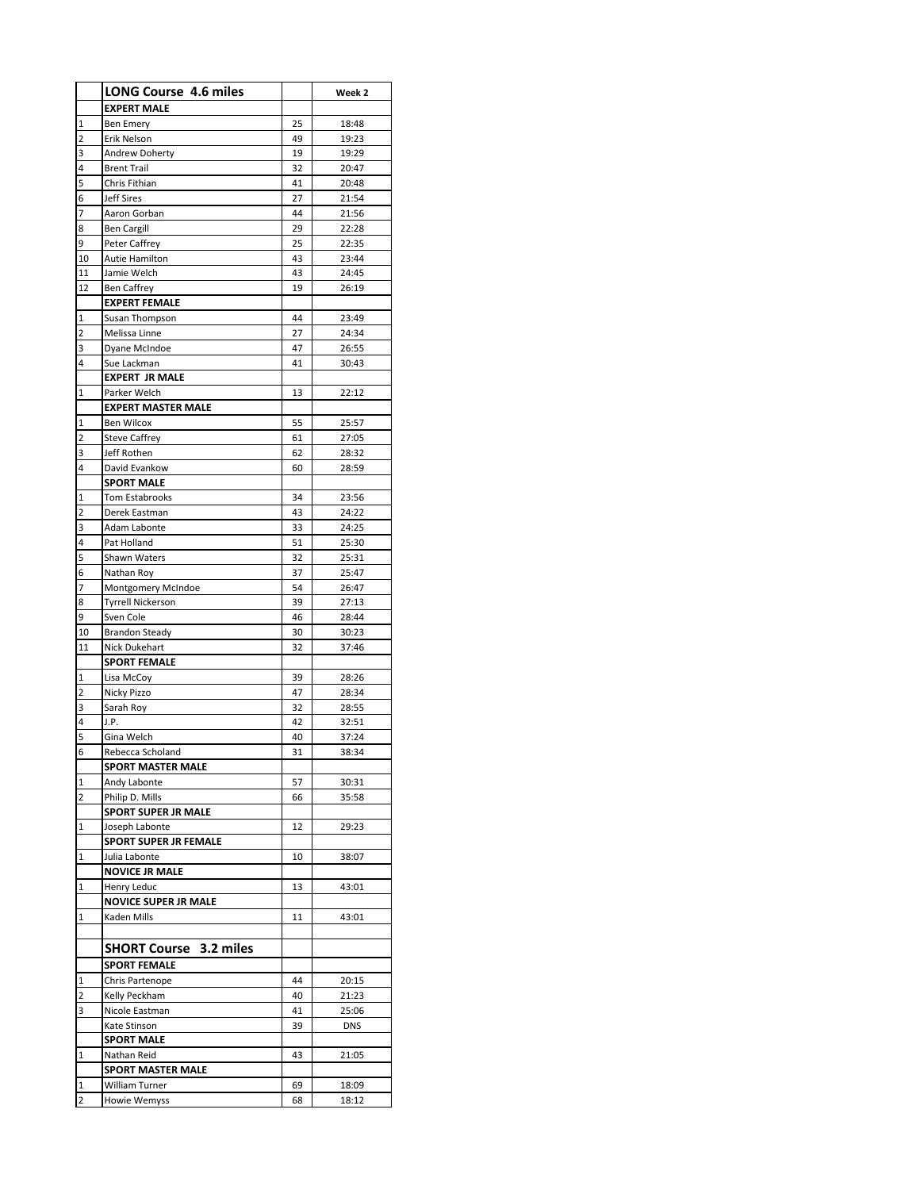|             | <b>LONG Course 4.6 miles</b>            |          | Week 2         |
|-------------|-----------------------------------------|----------|----------------|
|             |                                         |          |                |
|             | <b>EXPERT MALE</b>                      |          |                |
| 1           | <b>Ben Emery</b>                        | 25       | 18:48          |
| 2           | Erik Nelson                             | 49       | 19:23          |
| 3           | Andrew Doherty<br><b>Brent Trail</b>    | 19       | 19:29          |
| 4           |                                         | 32       | 20:47          |
| 5           | Chris Fithian                           | 41       | 20:48          |
| 6           | <b>Jeff Sires</b>                       | 27       | 21:54          |
| 7           | Aaron Gorban                            | 44       | 21:56          |
| 8           | <b>Ben Cargill</b>                      | 29       | 22:28          |
| 9           | Peter Caffrey                           | 25       | 22:35          |
| 10          | Autie Hamilton                          | 43       | 23:44          |
| 11          | Jamie Welch                             | 43       | 24:45          |
| 12          | <b>Ben Caffrey</b>                      | 19       | 26:19          |
|             | <b>EXPERT FEMALE</b>                    |          |                |
| 1<br>2      | Susan Thompson<br>Melissa Linne         | 44<br>27 | 23:49<br>24:34 |
| 3           |                                         | 47       |                |
| 4           | Dyane McIndoe                           |          | 26:55          |
|             | Sue Lackman<br><b>EXPERT JR MALE</b>    | 41       | 30:43          |
| 1           | Parker Welch                            | 13       |                |
|             | <b>EXPERT MASTER MALE</b>               |          | 22:12          |
| 1           | <b>Ben Wilcox</b>                       | 55       | 25:57          |
| 2           | <b>Steve Caffrey</b>                    | 61       | 27:05          |
| 3           | Jeff Rothen                             | 62       | 28:32          |
| 4           | David Evankow                           | 60       | 28:59          |
|             | <b>SPORT MALE</b>                       |          |                |
| 1           | Tom Estabrooks                          | 34       | 23:56          |
| 2           | Derek Eastman                           | 43       | 24:22          |
| 3           | Adam Labonte                            | 33       | 24:25          |
| 4           | Pat Holland                             | 51       | 25:30          |
| 5           | Shawn Waters                            | 32       | 25:31          |
| 6           | Nathan Roy                              | 37       | 25:47          |
| 7           | Montgomery McIndoe                      | 54       | 26:47          |
| 8           | <b>Tyrrell Nickerson</b>                | 39       | 27:13          |
| 9           | Sven Cole                               | 46       | 28:44          |
| 10          | <b>Brandon Steady</b>                   | 30       | 30:23          |
| 11          | Nick Dukehart                           | 32       | 37:46          |
|             | <b>SPORT FEMALE</b>                     |          |                |
| 1           | Lisa McCoy                              | 39       | 28:26          |
| 2           | Nicky Pizzo                             | 47       | 28:34          |
| 3           | Sarah Roy                               | 32       | 28:55          |
| 4           | J.P.                                    | 42       | 32:51          |
| 5           | Gina Welch                              | 40       | 37:24          |
| 6           | Rebecca Scholand                        | 31       | 38:34          |
|             | SPORT MASTER MALE                       |          |                |
| 1           | Andy Labonte                            | 57       | 30:31          |
| 2           | Philip D. Mills                         | 66       | 35:58          |
|             | <b>SPORT SUPER JR MALE</b>              |          |                |
| 1           | Joseph Labonte                          | 12       | 29:23          |
|             | <b>SPORT SUPER JR FEMALE</b>            |          |                |
| 1           | Julia Labonte                           | 10       | 38:07          |
|             | <b>NOVICE JR MALE</b>                   |          |                |
| 1           | Henry Leduc                             | 13       | 43:01          |
|             | <b>NOVICE SUPER JR MALE</b>             |          |                |
| 1           | Kaden Mills                             | 11       | 43:01          |
|             |                                         |          |                |
|             | <b>SHORT Course 3.2 miles</b>           |          |                |
|             | <b>SPORT FEMALE</b>                     |          |                |
| 1           | Chris Partenope                         | 44       | 20:15          |
| 2           | Kelly Peckham                           | 40       | 21:23          |
| 3           | Nicole Eastman                          | 41       | 25:06          |
|             | Kate Stinson                            | 39       | <b>DNS</b>     |
|             | <b>SPORT MALE</b>                       |          |                |
| $\mathbf 1$ | Nathan Reid<br><b>SPORT MASTER MALE</b> | 43       | 21:05          |
| 1           | William Turner                          | 69       | 18:09          |
| 2           | Howie Wemyss                            | 68       | 18:12          |
|             |                                         |          |                |